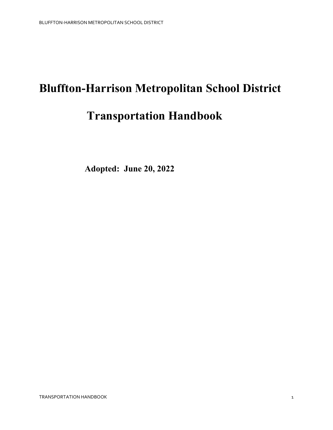# **Bluffton-Harrison Metropolitan School District Transportation Handbook**

 **Adopted: June 20, 2022**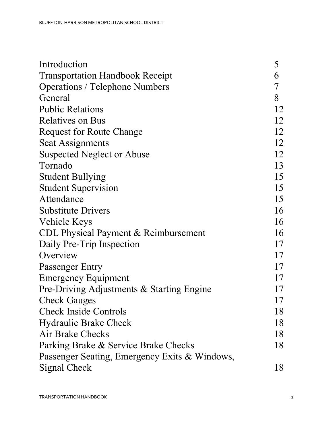| Introduction                                  | 5  |
|-----------------------------------------------|----|
| <b>Transportation Handbook Receipt</b>        | 6  |
| <b>Operations / Telephone Numbers</b>         | 7  |
| General                                       | 8  |
| <b>Public Relations</b>                       | 12 |
| <b>Relatives on Bus</b>                       | 12 |
| <b>Request for Route Change</b>               | 12 |
| <b>Seat Assignments</b>                       | 12 |
| <b>Suspected Neglect or Abuse</b>             | 12 |
| Tornado                                       | 13 |
| <b>Student Bullying</b>                       | 15 |
| <b>Student Supervision</b>                    | 15 |
| Attendance                                    | 15 |
| <b>Substitute Drivers</b>                     | 16 |
| Vehicle Keys                                  | 16 |
| CDL Physical Payment & Reimbursement          | 16 |
| Daily Pre-Trip Inspection                     | 17 |
| Overview                                      | 17 |
| Passenger Entry                               | 17 |
| <b>Emergency Equipment</b>                    | 17 |
| Pre-Driving Adjustments & Starting Engine     | 17 |
| <b>Check Gauges</b>                           | 17 |
| <b>Check Inside Controls</b>                  | 18 |
| <b>Hydraulic Brake Check</b>                  | 18 |
| Air Brake Checks                              | 18 |
| Parking Brake & Service Brake Checks          | 18 |
| Passenger Seating, Emergency Exits & Windows, |    |
| Signal Check                                  | 18 |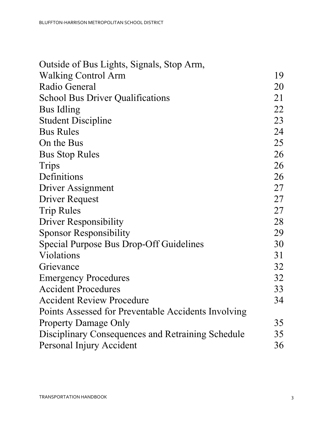| Outside of Bus Lights, Signals, Stop Arm,           |    |
|-----------------------------------------------------|----|
| <b>Walking Control Arm</b>                          | 19 |
| Radio General                                       | 20 |
| <b>School Bus Driver Qualifications</b>             | 21 |
| <b>Bus Idling</b>                                   | 22 |
| <b>Student Discipline</b>                           | 23 |
| <b>Bus Rules</b>                                    | 24 |
| On the Bus                                          | 25 |
| <b>Bus Stop Rules</b>                               | 26 |
| Trips                                               | 26 |
| Definitions                                         | 26 |
| Driver Assignment                                   | 27 |
| Driver Request                                      | 27 |
| <b>Trip Rules</b>                                   | 27 |
| <b>Driver Responsibility</b>                        | 28 |
| <b>Sponsor Responsibility</b>                       | 29 |
| Special Purpose Bus Drop-Off Guidelines             | 30 |
| Violations                                          | 31 |
| Grievance                                           | 32 |
| <b>Emergency Procedures</b>                         | 32 |
| <b>Accident Procedures</b>                          | 33 |
| <b>Accident Review Procedure</b>                    | 34 |
| Points Assessed for Preventable Accidents Involving |    |
| <b>Property Damage Only</b>                         | 35 |
| Disciplinary Consequences and Retraining Schedule   | 35 |
| Personal Injury Accident                            | 36 |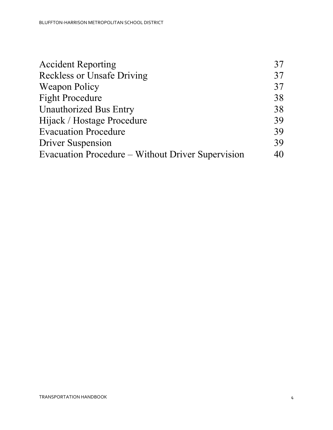| <b>Accident Reporting</b>                         | 37 |
|---------------------------------------------------|----|
| <b>Reckless or Unsafe Driving</b>                 | 37 |
| <b>Weapon Policy</b>                              | 37 |
| <b>Fight Procedure</b>                            | 38 |
| <b>Unauthorized Bus Entry</b>                     | 38 |
| Hijack / Hostage Procedure                        | 39 |
| <b>Evacuation Procedure</b>                       | 39 |
| <b>Driver Suspension</b>                          | 39 |
| Evacuation Procedure – Without Driver Supervision | 40 |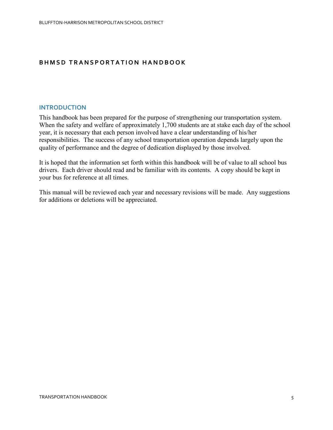## **BHMSD TRANSPORTATION HANDBOOK**

#### **INTRODUCTION**

This handbook has been prepared for the purpose of strengthening our transportation system. When the safety and welfare of approximately 1,700 students are at stake each day of the school year, it is necessary that each person involved have a clear understanding of his/her responsibilities. The success of any school transportation operation depends largely upon the quality of performance and the degree of dedication displayed by those involved.

It is hoped that the information set forth within this handbook will be of value to all school bus drivers. Each driver should read and be familiar with its contents. A copy should be kept in your bus for reference at all times.

This manual will be reviewed each year and necessary revisions will be made. Any suggestions for additions or deletions will be appreciated.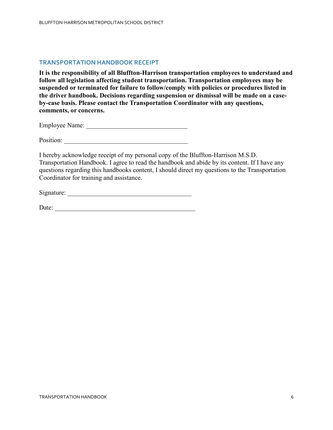#### **TRANSPORTATION HANDBOOK RECEIPT**

**It is the responsibility of all Bluffton-Harrison transportation employees to understand and follow all legislation affecting student transportation. Transportation employees may be suspended or terminated for failure to follow/comply with policies or procedures listed in the driver handbook. Decisions regarding suspension or dismissal will be made on a caseby-case basis. Please contact the Transportation Coordinator with any questions, comments, or concerns.**

Employee Name: \_\_\_\_\_\_\_\_\_\_\_\_\_\_\_\_\_\_\_\_\_\_\_\_\_\_\_\_\_\_\_

Position:

I hereby acknowledge receipt of my personal copy of the Bluffton-Harrison M.S.D. Transportation Handbook. I agree to read the handbook and abide by its content. If I have any questions regarding this handbooks content, I should direct my questions to the Transportation Coordinator for training and assistance.

Signature: \_\_\_\_\_\_\_\_\_\_\_\_\_\_\_\_\_\_\_\_\_\_\_\_\_\_\_\_\_\_\_\_\_\_\_\_\_\_

Date: \_\_\_\_\_\_\_\_\_\_\_\_\_\_\_\_\_\_\_\_\_\_\_\_\_\_\_\_\_\_\_\_\_\_\_\_\_\_\_\_\_\_\_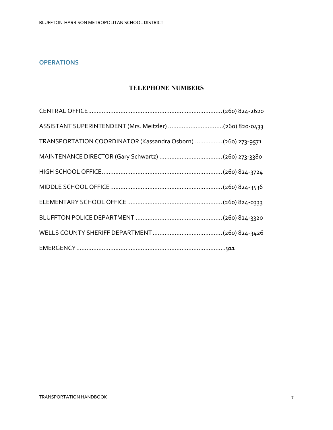## **OPERATIONS**

## **TELEPHONE NUMBERS**

| ASSISTANT SUPERINTENDENT (Mrs. Meitzler) (260) 820-0433       |  |
|---------------------------------------------------------------|--|
| TRANSPORTATION COORDINATOR (Kassandra Osborn)  (260) 273-9571 |  |
|                                                               |  |
|                                                               |  |
|                                                               |  |
|                                                               |  |
|                                                               |  |
|                                                               |  |
|                                                               |  |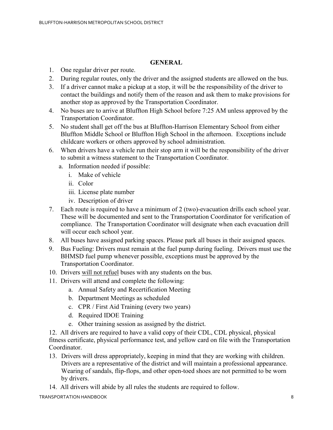## **GENERAL**

- 1. One regular driver per route.
- 2. During regular routes, only the driver and the assigned students are allowed on the bus.
- 3. If a driver cannot make a pickup at a stop, it will be the responsibility of the driver to contact the buildings and notify them of the reason and ask them to make provisions for another stop as approved by the Transportation Coordinator.
- 4. No buses are to arrive at Bluffton High School before 7:25 AM unless approved by the Transportation Coordinator.
- 5. No student shall get off the bus at Bluffton-Harrison Elementary School from either Bluffton Middle School or Bluffton High School in the afternoon. Exceptions include childcare workers or others approved by school administration.
- 6. When drivers have a vehicle run their stop arm it will be the responsibility of the driver to submit a witness statement to the Transportation Coordinator.
	- a. Information needed if possible:
		- i. Make of vehicle
		- ii. Color
		- iii. License plate number
		- iv. Description of driver
- 7. Each route is required to have a minimum of 2 (two)-evacuation drills each school year. These will be documented and sent to the Transportation Coordinator for verification of compliance. The Transportation Coordinator will designate when each evacuation drill will occur each school year.
- 8. All buses have assigned parking spaces. Please park all buses in their assigned spaces.
- 9. Bus Fueling: Drivers must remain at the fuel pump during fueling. Drivers must use the BHMSD fuel pump whenever possible, exceptions must be approved by the Transportation Coordinator.
- 10. Drivers will not refuel buses with any students on the bus.
- 11. Drivers will attend and complete the following:
	- a. Annual Safety and Recertification Meeting
	- b. Department Meetings as scheduled
	- c. CPR / First Aid Training (every two years)
	- d. Required IDOE Training
	- e. Other training session as assigned by the district.

12. All drivers are required to have a valid copy of their CDL, CDL physical, physical fitness certificate, physical performance test, and yellow card on file with the Transportation Coordinator.

- 13. Drivers will dress appropriately, keeping in mind that they are working with children. Drivers are a representative of the district and will maintain a professional appearance. Wearing of sandals, flip-flops, and other open-toed shoes are not permitted to be worn by drivers.
- 14. All drivers will abide by all rules the students are required to follow.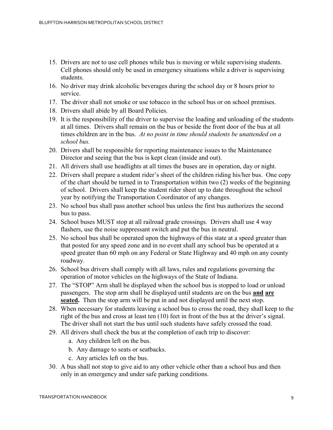- 15. Drivers are not to use cell phones while bus is moving or while supervising students. Cell phones should only be used in emergency situations while a driver is supervising students.
- 16. No driver may drink alcoholic beverages during the school day or 8 hours prior to service.
- 17. The driver shall not smoke or use tobacco in the school bus or on school premises.
- 18. Drivers shall abide by all Board Policies.
- 19. It is the responsibility of the driver to supervise the loading and unloading of the students at all times. Drivers shall remain on the bus or beside the front door of the bus at all times children are in the bus. *At no point in time should students be unattended on a school bus.*
- 20. Drivers shall be responsible for reporting maintenance issues to the Maintenance Director and seeing that the bus is kept clean (inside and out).
- 21. All drivers shall use headlights at all times the buses are in operation, day or night.
- 22. Drivers shall prepare a student rider's sheet of the children riding his/her bus. One copy of the chart should be turned in to Transportation within two (2) weeks of the beginning of school. Drivers shall keep the student rider sheet up to date throughout the school year by notifying the Transportation Coordinator of any changes.
- 23. No school bus shall pass another school bus unless the first bus authorizes the second bus to pass.
- 24. School buses MUST stop at all railroad grade crossings. Drivers shall use 4 way flashers, use the noise suppressant switch and put the bus in neutral.
- 25. No school bus shall be operated upon the highways of this state at a speed greater than that posted for any speed zone and in no event shall any school bus be operated at a speed greater than 60 mph on any Federal or State Highway and 40 mph on any county roadway.
- 26. School bus drivers shall comply with all laws, rules and regulations governing the operation of motor vehicles on the highways of the State of Indiana.
- 27. The "STOP" Arm shall be displayed when the school bus is stopped to load or unload passengers. The stop arm shall be displayed until students are on the bus **and are seated.** Then the stop arm will be put in and not displayed until the next stop.
- 28. When necessary for students leaving a school bus to cross the road, they shall keep to the right of the bus and cross at least ten (10) feet in front of the bus at the driver's signal. The driver shall not start the bus until such students have safely crossed the road.
- 29. All drivers shall check the bus at the completion of each trip to discover:
	- a. Any children left on the bus.
	- b. Any damage to seats or seatbacks.
	- c. Any articles left on the bus.
- 30. A bus shall not stop to give aid to any other vehicle other than a school bus and then only in an emergency and under safe parking conditions.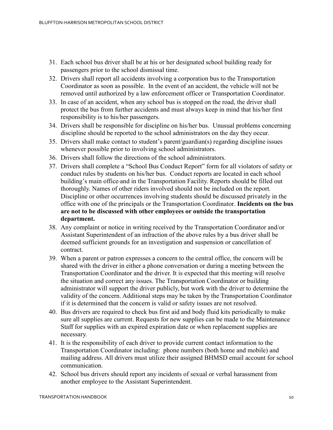- 31. Each school bus driver shall be at his or her designated school building ready for passengers prior to the school dismissal time.
- 32. Drivers shall report all accidents involving a corporation bus to the Transportation Coordinator as soon as possible. In the event of an accident, the vehicle will not be removed until authorized by a law enforcement officer or Transportation Coordinator.
- 33. In case of an accident, when any school bus is stopped on the road, the driver shall protect the bus from further accidents and must always keep in mind that his/her first responsibility is to his/her passengers.
- 34. Drivers shall be responsible for discipline on his/her bus. Unusual problems concerning discipline should be reported to the school administrators on the day they occur.
- 35. Drivers shall make contact to student's parent/guardian(s) regarding discipline issues whenever possible prior to involving school administrators.
- 36. Drivers shall follow the directions of the school administrators.
- 37. Drivers shall complete a "School Bus Conduct Report" form for all violators of safety or conduct rules by students on his/her bus. Conduct reports are located in each school building's main office and in the Transportation Facility. Reports should be filled out thoroughly. Names of other riders involved should not be included on the report. Discipline or other occurrences involving students should be discussed privately in the office with one of the principals or the Transportation Coordinator. **Incidents on the bus are not to be discussed with other employees or outside the transportation department.**
- 38. Any complaint or notice in writing received by the Transportation Coordinator and/or Assistant Superintendent of an infraction of the above rules by a bus driver shall be deemed sufficient grounds for an investigation and suspension or cancellation of contract.
- 39. When a parent or patron expresses a concern to the central office, the concern will be shared with the driver in either a phone conversation or during a meeting between the Transportation Coordinator and the driver. It is expected that this meeting will resolve the situation and correct any issues. The Transportation Coordinator or building administrator will support the driver publicly, but work with the driver to determine the validity of the concern. Additional steps may be taken by the Transportation Coordinator if it is determined that the concern is valid or safety issues are not resolved.
- 40. Bus drivers are required to check bus first aid and body fluid kits periodically to make sure all supplies are current. Requests for new supplies can be made to the Maintenance Staff for supplies with an expired expiration date or when replacement supplies are necessary.
- 41. It is the responsibility of each driver to provide current contact information to the Transportation Coordinator including: phone numbers (both home and mobile) and mailing address. All drivers must utilize their assigned BHMSD email account for school communication.
- 42. School bus drivers should report any incidents of sexual or verbal harassment from another employee to the Assistant Superintendent.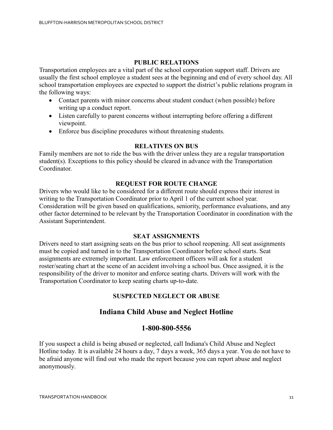## **PUBLIC RELATIONS**

Transportation employees are a vital part of the school corporation support staff. Drivers are usually the first school employee a student sees at the beginning and end of every school day. All school transportation employees are expected to support the district's public relations program in the following ways:

- Contact parents with minor concerns about student conduct (when possible) before writing up a conduct report.
- Listen carefully to parent concerns without interrupting before offering a different viewpoint.
- Enforce bus discipline procedures without threatening students.

## **RELATIVES ON BUS**

Family members are not to ride the bus with the driver unless they are a regular transportation student(s). Exceptions to this policy should be cleared in advance with the Transportation Coordinator.

## **REQUEST FOR ROUTE CHANGE**

Drivers who would like to be considered for a different route should express their interest in writing to the Transportation Coordinator prior to April 1 of the current school year. Consideration will be given based on qualifications, seniority, performance evaluations, and any other factor determined to be relevant by the Transportation Coordinator in coordination with the Assistant Superintendent.

#### **SEAT ASSIGNMENTS**

Drivers need to start assigning seats on the bus prior to school reopening. All seat assignments must be copied and turned in to the Transportation Coordinator before school starts. Seat assignments are extremely important. Law enforcement officers will ask for a student roster/seating chart at the scene of an accident involving a school bus. Once assigned, it is the responsibility of the driver to monitor and enforce seating charts. Drivers will work with the Transportation Coordinator to keep seating charts up-to-date.

## **SUSPECTED NEGLECT OR ABUSE**

## **Indiana Child Abuse and Neglect Hotline**

## **1-800-800-5556**

If you suspect a child is being abused or neglected, call Indiana's Child Abuse and Neglect Hotline today. It is available 24 hours a day, 7 days a week, 365 days a year. You do not have to be afraid anyone will find out who made the report because you can report abuse and neglect anonymously.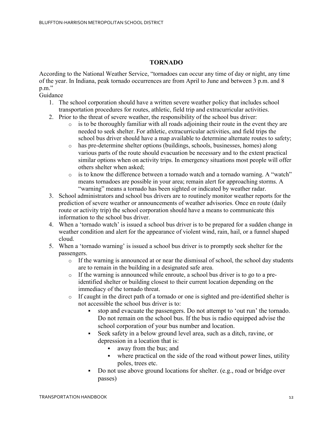## **TORNADO**

According to the National Weather Service, "tornadoes can occur any time of day or night, any time of the year. In Indiana, peak tornado occurrences are from April to June and between 3 p.m. and 8 p.m."

Guidance

- 1. The school corporation should have a written severe weather policy that includes school transportation procedures for routes, athletic, field trip and extracurricular activities.
- 2. Prior to the threat of severe weather, the responsibility of the school bus driver:
	- $\circ$  is to be thoroughly familiar with all roads adjoining their route in the event they are needed to seek shelter. For athletic, extracurricular activities, and field trips the school bus driver should have a map available to determine alternate routes to safety;
	- o has pre-determine shelter options (buildings, schools, businesses, homes) along various parts of the route should evacuation be necessary and to the extent practical similar options when on activity trips. In emergency situations most people will offer others shelter when asked;
	- $\circ$  is to know the difference between a tornado watch and a tornado warning. A "watch" means tornadoes are possible in your area; remain alert for approaching storms. A "warning" means a tornado has been sighted or indicated by weather radar.
- 3. School administrators and school bus drivers are to routinely monitor weather reports for the prediction of severe weather or announcements of weather advisories. Once en route (daily route or activity trip) the school corporation should have a means to communicate this information to the school bus driver.
- 4. When a 'tornado watch' is issued a school bus driver is to be prepared for a sudden change in weather condition and alert for the appearance of violent wind, rain, hail, or a funnel shaped cloud.
- 5. When a 'tornado warning' is issued a school bus driver is to promptly seek shelter for the passengers.
	- $\circ$  If the warning is announced at or near the dismissal of school, the school day students are to remain in the building in a designated safe area.
	- o If the warning is announced while enroute, a school bus driver is to go to a preidentified shelter or building closest to their current location depending on the immediacy of the tornado threat.
	- o If caught in the direct path of a tornado or one is sighted and pre-identified shelter is not accessible the school bus driver is to:
		- stop and evacuate the passengers. Do not attempt to 'out run' the tornado. Do not remain on the school bus. If the bus is radio equipped advise the school corporation of your bus number and location.
		- Seek safety in a below ground level area, such as a ditch, ravine, or depression in a location that is:
			- away from the bus; and
			- where practical on the side of the road without power lines, utility poles, trees etc.
		- Do not use above ground locations for shelter. (e.g., road or bridge over passes)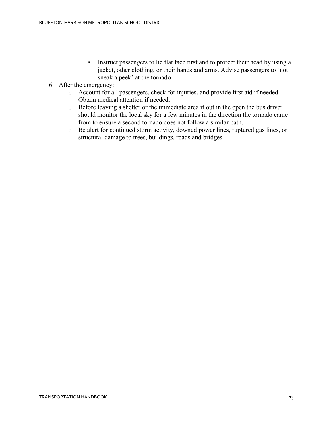- Instruct passengers to lie flat face first and to protect their head by using a jacket, other clothing, or their hands and arms. Advise passengers to 'not sneak a peek' at the tornado
- 6. After the emergency:
	- o Account for all passengers, check for injuries, and provide first aid if needed. Obtain medical attention if needed.
	- o Before leaving a shelter or the immediate area if out in the open the bus driver should monitor the local sky for a few minutes in the direction the tornado came from to ensure a second tornado does not follow a similar path.
	- o Be alert for continued storm activity, downed power lines, ruptured gas lines, or structural damage to trees, buildings, roads and bridges.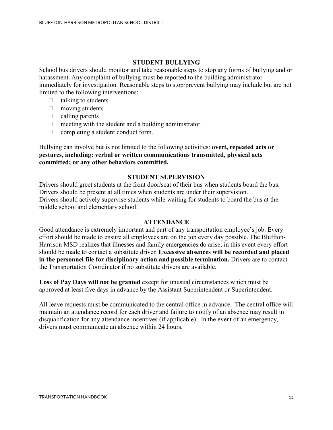## **STUDENT BULLYING**

School bus drivers should monitor and take reasonable steps to stop any forms of bullying and or harassment. Any complaint of bullying must be reported to the building administrator immediately for investigation. Reasonable steps to stop/prevent bullying may include but are not limited to the following interventions:

- $\Box$  talking to students
- $\Box$  moving students
- $\Box$  calling parents
- $\Box$  meeting with the student and a building administrator
- $\Box$  completing a student conduct form.

Bullying can involve but is not limited to the following activities: **overt, repeated acts or gestures, including: verbal or written communications transmitted, physical acts committed; or any other behaviors committed.**

#### **STUDENT SUPERVISION**

Drivers should greet students at the front door/seat of their bus when students board the bus. Drivers should be present at all times when students are under their supervision. Drivers should actively supervise students while waiting for students to board the bus at the middle school and elementary school.

#### **ATTENDANCE**

Good attendance is extremely important and part of any transportation employee's job. Every effort should be made to ensure all employees are on the job every day possible. The Bluffton-Harrison MSD realizes that illnesses and family emergencies do arise; in this event every effort should be made to contact a substitute driver. **Excessive absences will be recorded and placed in the personnel file for disciplinary action and possible termination.** Drivers are to contact the Transportation Coordinator if no substitute drivers are available.

**Loss of Pay Days will not be granted** except for unusual circumstances which must be approved at least five days in advance by the Assistant Superintendent or Superintendent.

All leave requests must be communicated to the central office in advance. The central office will maintain an attendance record for each driver and failure to notify of an absence may result in disqualification for any attendance incentives (if applicable). In the event of an emergency, drivers must communicate an absence within 24 hours.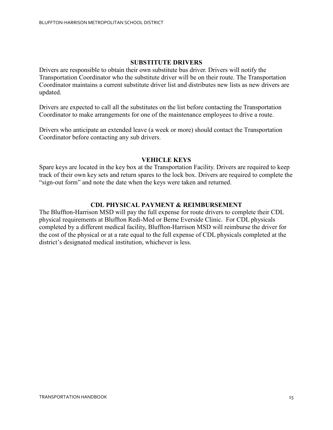## **SUBSTITUTE DRIVERS**

Drivers are responsible to obtain their own substitute bus driver. Drivers will notify the Transportation Coordinator who the substitute driver will be on their route. The Transportation Coordinator maintains a current substitute driver list and distributes new lists as new drivers are updated.

Drivers are expected to call all the substitutes on the list before contacting the Transportation Coordinator to make arrangements for one of the maintenance employees to drive a route.

Drivers who anticipate an extended leave (a week or more) should contact the Transportation Coordinator before contacting any sub drivers.

#### **VEHICLE KEYS**

Spare keys are located in the key box at the Transportation Facility. Drivers are required to keep track of their own key sets and return spares to the lock box. Drivers are required to complete the "sign-out form" and note the date when the keys were taken and returned.

## **CDL PHYSICAL PAYMENT & REIMBURSEMENT**

The Bluffton-Harrison MSD will pay the full expense for route drivers to complete their CDL physical requirements at Bluffton Redi-Med or Berne Everside Clinic. For CDL physicals completed by a different medical facility, Bluffton-Harrison MSD will reimburse the driver for the cost of the physical or at a rate equal to the full expense of CDL physicals completed at the district's designated medical institution, whichever is less.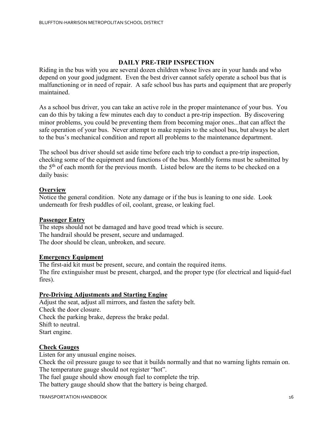## **DAILY PRE-TRIP INSPECTION**

Riding in the bus with you are several dozen children whose lives are in your hands and who depend on your good judgment. Even the best driver cannot safely operate a school bus that is malfunctioning or in need of repair. A safe school bus has parts and equipment that are properly maintained.

As a school bus driver, you can take an active role in the proper maintenance of your bus. You can do this by taking a few minutes each day to conduct a pre-trip inspection. By discovering minor problems, you could be preventing them from becoming major ones...that can affect the safe operation of your bus. Never attempt to make repairs to the school bus, but always be alert to the bus's mechanical condition and report all problems to the maintenance department.

The school bus driver should set aside time before each trip to conduct a pre-trip inspection, checking some of the equipment and functions of the bus. Monthly forms must be submitted by the 5<sup>th</sup> of each month for the previous month. Listed below are the items to be checked on a daily basis:

## **Overview**

Notice the general condition. Note any damage or if the bus is leaning to one side. Look underneath for fresh puddles of oil, coolant, grease, or leaking fuel.

#### **Passenger Entry**

The steps should not be damaged and have good tread which is secure. The handrail should be present, secure and undamaged. The door should be clean, unbroken, and secure.

#### **Emergency Equipment**

The first-aid kit must be present, secure, and contain the required items. The fire extinguisher must be present, charged, and the proper type (for electrical and liquid-fuel fires).

## **Pre-Driving Adjustments and Starting Engine**

Adjust the seat, adjust all mirrors, and fasten the safety belt. Check the door closure. Check the parking brake, depress the brake pedal. Shift to neutral. Start engine.

## **Check Gauges**

Listen for any unusual engine noises.

Check the oil pressure gauge to see that it builds normally and that no warning lights remain on. The temperature gauge should not register "hot".

The fuel gauge should show enough fuel to complete the trip.

The battery gauge should show that the battery is being charged.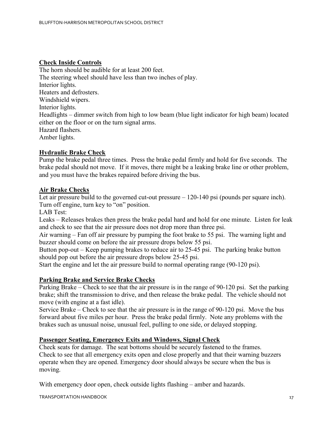## **Check Inside Controls**

The horn should be audible for at least 200 feet. The steering wheel should have less than two inches of play. Interior lights. Heaters and defrosters. Windshield wipers. Interior lights. Headlights – dimmer switch from high to low beam (blue light indicator for high beam) located either on the floor or on the turn signal arms. Hazard flashers. Amber lights.

## **Hydraulic Brake Check**

Pump the brake pedal three times. Press the brake pedal firmly and hold for five seconds. The brake pedal should not move. If it moves, there might be a leaking brake line or other problem, and you must have the brakes repaired before driving the bus.

## **Air Brake Checks**

Let air pressure build to the governed cut-out pressure – 120-140 psi (pounds per square inch). Turn off engine, turn key to "on" position.

LAB Test:

Leaks – Releases brakes then press the brake pedal hard and hold for one minute. Listen for leak and check to see that the air pressure does not drop more than three psi.

Air warning – Fan off air pressure by pumping the foot brake to 55 psi. The warning light and buzzer should come on before the air pressure drops below 55 psi.

Button pop-out – Keep pumping brakes to reduce air to 25-45 psi. The parking brake button should pop out before the air pressure drops below 25-45 psi.

Start the engine and let the air pressure build to normal operating range (90-120 psi).

#### **Parking Brake and Service Brake Checks**

Parking Brake – Check to see that the air pressure is in the range of 90-120 psi. Set the parking brake; shift the transmission to drive, and then release the brake pedal. The vehicle should not move (with engine at a fast idle).

Service Brake – Check to see that the air pressure is in the range of 90-120 psi. Move the bus forward about five miles per hour. Press the brake pedal firmly. Note any problems with the brakes such as unusual noise, unusual feel, pulling to one side, or delayed stopping.

#### **Passenger Seating, Emergency Exits and Windows, Signal Check**

Check seats for damage. The seat bottoms should be securely fastened to the frames. Check to see that all emergency exits open and close properly and that their warning buzzers operate when they are opened. Emergency door should always be secure when the bus is moving.

With emergency door open, check outside lights flashing – amber and hazards.

TRANSPORTATION HANDBOOK 27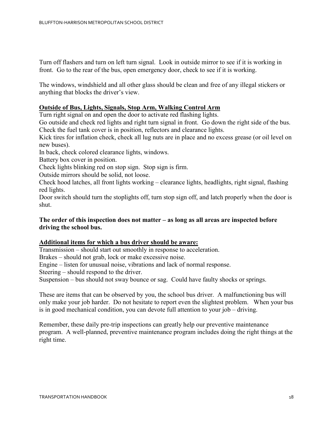Turn off flashers and turn on left turn signal. Look in outside mirror to see if it is working in front. Go to the rear of the bus, open emergency door, check to see if it is working.

The windows, windshield and all other glass should be clean and free of any illegal stickers or anything that blocks the driver's view.

## **Outside of Bus, Lights, Signals, Stop Arm, Walking Control Arm**

Turn right signal on and open the door to activate red flashing lights.

Go outside and check red lights and right turn signal in front. Go down the right side of the bus. Check the fuel tank cover is in position, reflectors and clearance lights.

Kick tires for inflation check, check all lug nuts are in place and no excess grease (or oil level on new buses).

In back, check colored clearance lights, windows.

Battery box cover in position.

Check lights blinking red on stop sign. Stop sign is firm.

Outside mirrors should be solid, not loose.

Check hood latches, all front lights working – clearance lights, headlights, right signal, flashing red lights.

Door switch should turn the stoplights off, turn stop sign off, and latch properly when the door is shut.

## **The order of this inspection does not matter – as long as all areas are inspected before driving the school bus.**

#### **Additional items for which a bus driver should be aware:**

Transmission – should start out smoothly in response to acceleration.

Brakes – should not grab, lock or make excessive noise.

Engine – listen for unusual noise, vibrations and lack of normal response.

Steering – should respond to the driver.

Suspension – bus should not sway bounce or sag. Could have faulty shocks or springs.

These are items that can be observed by you, the school bus driver. A malfunctioning bus will only make your job harder. Do not hesitate to report even the slightest problem. When your bus is in good mechanical condition, you can devote full attention to your job – driving.

Remember, these daily pre-trip inspections can greatly help our preventive maintenance program. A well-planned, preventive maintenance program includes doing the right things at the right time.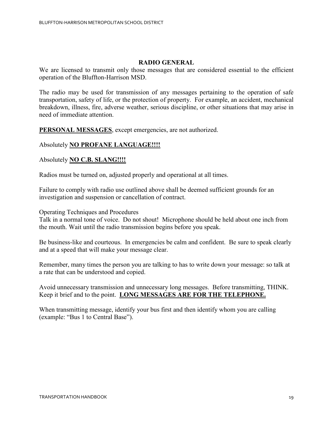#### **RADIO GENERAL**

We are licensed to transmit only those messages that are considered essential to the efficient operation of the Bluffton-Harrison MSD.

The radio may be used for transmission of any messages pertaining to the operation of safe transportation, safety of life, or the protection of property. For example, an accident, mechanical breakdown, illness, fire, adverse weather, serious discipline, or other situations that may arise in need of immediate attention.

**PERSONAL MESSAGES**, except emergencies, are not authorized.

## Absolutely **NO PROFANE LANGUAGE!!!!**

Absolutely **NO C.B. SLANG!!!!**

Radios must be turned on, adjusted properly and operational at all times.

Failure to comply with radio use outlined above shall be deemed sufficient grounds for an investigation and suspension or cancellation of contract.

Operating Techniques and Procedures

Talk in a normal tone of voice. Do not shout! Microphone should be held about one inch from the mouth. Wait until the radio transmission begins before you speak.

Be business-like and courteous. In emergencies be calm and confident. Be sure to speak clearly and at a speed that will make your message clear.

Remember, many times the person you are talking to has to write down your message: so talk at a rate that can be understood and copied.

Avoid unnecessary transmission and unnecessary long messages. Before transmitting, THINK. Keep it brief and to the point. **LONG MESSAGES ARE FOR THE TELEPHONE.**

When transmitting message, identify your bus first and then identify whom you are calling (example: "Bus 1 to Central Base").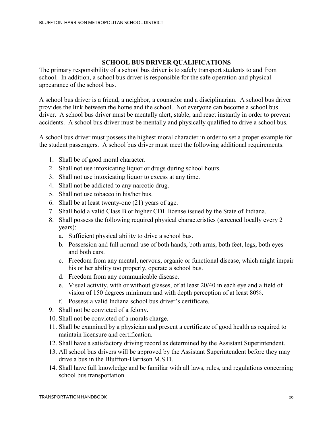## **SCHOOL BUS DRIVER QUALIFICATIONS**

The primary responsibility of a school bus driver is to safely transport students to and from school. In addition, a school bus driver is responsible for the safe operation and physical appearance of the school bus.

A school bus driver is a friend, a neighbor, a counselor and a disciplinarian. A school bus driver provides the link between the home and the school. Not everyone can become a school bus driver. A school bus driver must be mentally alert, stable, and react instantly in order to prevent accidents. A school bus driver must be mentally and physically qualified to drive a school bus.

A school bus driver must possess the highest moral character in order to set a proper example for the student passengers. A school bus driver must meet the following additional requirements.

- 1. Shall be of good moral character.
- 2. Shall not use intoxicating liquor or drugs during school hours.
- 3. Shall not use intoxicating liquor to excess at any time.
- 4. Shall not be addicted to any narcotic drug.
- 5. Shall not use tobacco in his/her bus.
- 6. Shall be at least twenty-one (21) years of age.
- 7. Shall hold a valid Class B or higher CDL license issued by the State of Indiana.
- 8. Shall possess the following required physical characteristics (screened locally every 2 years):
	- a. Sufficient physical ability to drive a school bus.
	- b. Possession and full normal use of both hands, both arms, both feet, legs, both eyes and both ears.
	- c. Freedom from any mental, nervous, organic or functional disease, which might impair his or her ability too properly, operate a school bus.
	- d. Freedom from any communicable disease.
	- e. Visual activity, with or without glasses, of at least 20/40 in each eye and a field of vision of 150 degrees minimum and with depth perception of at least 80%.
	- f. Possess a valid Indiana school bus driver's certificate.
- 9. Shall not be convicted of a felony.
- 10. Shall not be convicted of a morals charge.
- 11. Shall be examined by a physician and present a certificate of good health as required to maintain licensure and certification.
- 12. Shall have a satisfactory driving record as determined by the Assistant Superintendent.
- 13. All school bus drivers will be approved by the Assistant Superintendent before they may drive a bus in the Bluffton-Harrison M.S.D.
- 14. Shall have full knowledge and be familiar with all laws, rules, and regulations concerning school bus transportation.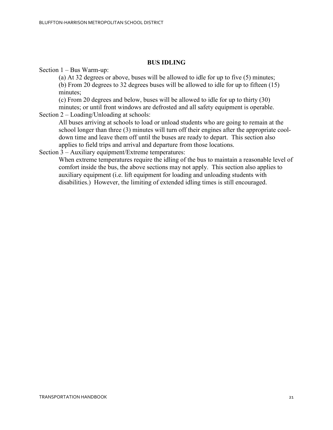#### **BUS IDLING**

Section 1 – Bus Warm-up:

(a) At 32 degrees or above, buses will be allowed to idle for up to five (5) minutes; (b) From 20 degrees to 32 degrees buses will be allowed to idle for up to fifteen (15) minutes;

(c) From 20 degrees and below, buses will be allowed to idle for up to thirty (30)

minutes; or until front windows are defrosted and all safety equipment is operable.

Section 2 – Loading/Unloading at schools:

All buses arriving at schools to load or unload students who are going to remain at the school longer than three (3) minutes will turn off their engines after the appropriate cooldown time and leave them off until the buses are ready to depart. This section also applies to field trips and arrival and departure from those locations.

Section 3 – Auxiliary equipment/Extreme temperatures:

When extreme temperatures require the idling of the bus to maintain a reasonable level of comfort inside the bus, the above sections may not apply. This section also applies to auxiliary equipment (i.e. lift equipment for loading and unloading students with disabilities.) However, the limiting of extended idling times is still encouraged.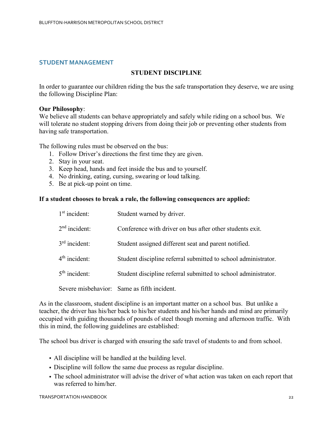## **STUDENT MANAGEMENT**

## **STUDENT DISCIPLINE**

In order to guarantee our children riding the bus the safe transportation they deserve, we are using the following Discipline Plan:

#### **Our Philosophy**:

We believe all students can behave appropriately and safely while riding on a school bus. We will tolerate no student stopping drivers from doing their job or preventing other students from having safe transportation.

The following rules must be observed on the bus:

- 1. Follow Driver's directions the first time they are given.
- 2. Stay in your seat.
- 3. Keep head, hands and feet inside the bus and to yourself.
- 4. No drinking, eating, cursing, swearing or loud talking.
- 5. Be at pick-up point on time.

#### **If a student chooses to break a rule, the following consequences are applied:**

| $1st$ incident: | Student warned by driver.                                      |
|-----------------|----------------------------------------------------------------|
| $2nd$ incident: | Conference with driver on bus after other students exit.       |
| $3rd$ incident: | Student assigned different seat and parent notified.           |
| $4th$ incident: | Student discipline referral submitted to school administrator. |
| $5th$ incident: | Student discipline referral submitted to school administrator. |
|                 | Severe misbehavior: Same as fifth incident.                    |

As in the classroom, student discipline is an important matter on a school bus. But unlike a teacher, the driver has his/her back to his/her students and his/her hands and mind are primarily occupied with guiding thousands of pounds of steel though morning and afternoon traffic. With this in mind, the following guidelines are established:

The school bus driver is charged with ensuring the safe travel of students to and from school.

- All discipline will be handled at the building level.
- Discipline will follow the same due process as regular discipline.
- The school administrator will advise the driver of what action was taken on each report that was referred to him/her.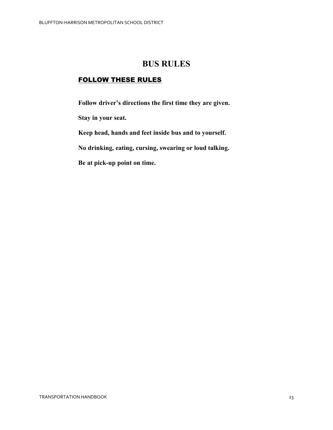## **BUS RULES**

## FOLLOW THESE RULES

**Follow driver's directions the first time they are given.**

**Stay in your seat.**

**Keep head, hands and feet inside bus and to yourself.**

**No drinking, eating, cursing, swearing or loud talking.**

**Be at pick-up point on time.**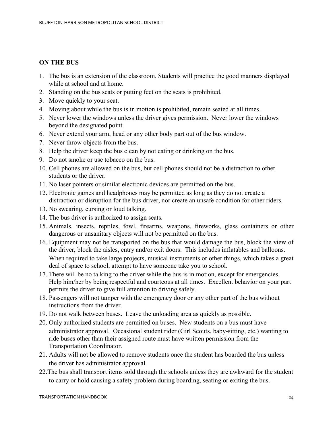## **ON THE BUS**

- 1. The bus is an extension of the classroom. Students will practice the good manners displayed while at school and at home.
- 2. Standing on the bus seats or putting feet on the seats is prohibited.
- 3. Move quickly to your seat.
- 4. Moving about while the bus is in motion is prohibited, remain seated at all times.
- 5. Never lower the windows unless the driver gives permission. Never lower the windows beyond the designated point.
- 6. Never extend your arm, head or any other body part out of the bus window.
- 7. Never throw objects from the bus.
- 8. Help the driver keep the bus clean by not eating or drinking on the bus.
- 9. Do not smoke or use tobacco on the bus.
- 10. Cell phones are allowed on the bus, but cell phones should not be a distraction to other students or the driver.
- 11. No laser pointers or similar electronic devices are permitted on the bus.
- 12. Electronic games and headphones may be permitted as long as they do not create a distraction or disruption for the bus driver, nor create an unsafe condition for other riders.
- 13. No swearing, cursing or loud talking.
- 14. The bus driver is authorized to assign seats.
- 15. Animals, insects, reptiles, fowl, firearms, weapons, fireworks, glass containers or other dangerous or unsanitary objects will not be permitted on the bus.
- 16. Equipment may not be transported on the bus that would damage the bus, block the view of the driver, block the aisles, entry and/or exit doors. This includes inflatables and balloons. When required to take large projects, musical instruments or other things, which takes a great deal of space to school, attempt to have someone take you to school.
- 17. There will be no talking to the driver while the bus is in motion, except for emergencies. Help him/her by being respectful and courteous at all times. Excellent behavior on your part permits the driver to give full attention to driving safely.
- 18. Passengers will not tamper with the emergency door or any other part of the bus without instructions from the driver.
- 19. Do not walk between buses. Leave the unloading area as quickly as possible.
- 20. Only authorized students are permitted on buses. New students on a bus must have administrator approval. Occasional student rider (Girl Scouts, baby-sitting, etc.) wanting to ride buses other than their assigned route must have written permission from the Transportation Coordinator.
- 21. Adults will not be allowed to remove students once the student has boarded the bus unless the driver has administrator approval.
- 22.The bus shall transport items sold through the schools unless they are awkward for the student to carry or hold causing a safety problem during boarding, seating or exiting the bus.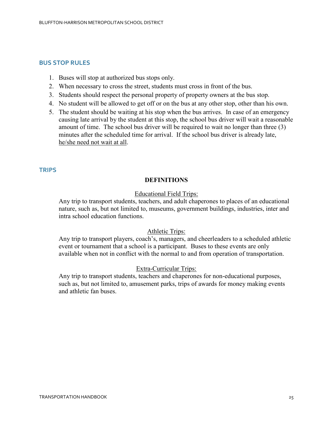#### **BUS STOP RULES**

- 1. Buses will stop at authorized bus stops only.
- 2. When necessary to cross the street, students must cross in front of the bus.
- 3. Students should respect the personal property of property owners at the bus stop.
- 4. No student will be allowed to get off or on the bus at any other stop, other than his own.
- 5. The student should be waiting at his stop when the bus arrives. In case of an emergency causing late arrival by the student at this stop, the school bus driver will wait a reasonable amount of time. The school bus driver will be required to wait no longer than three (3) minutes after the scheduled time for arrival. If the school bus driver is already late, he/she need not wait at all.

#### **TRIPS**

#### **DEFINITIONS**

#### Educational Field Trips:

Any trip to transport students, teachers, and adult chaperones to places of an educational nature, such as, but not limited to, museums, government buildings, industries, inter and intra school education functions.

#### Athletic Trips:

Any trip to transport players, coach's, managers, and cheerleaders to a scheduled athletic event or tournament that a school is a participant. Buses to these events are only available when not in conflict with the normal to and from operation of transportation.

#### Extra-Curricular Trips:

Any trip to transport students, teachers and chaperones for non-educational purposes, such as, but not limited to, amusement parks, trips of awards for money making events and athletic fan buses.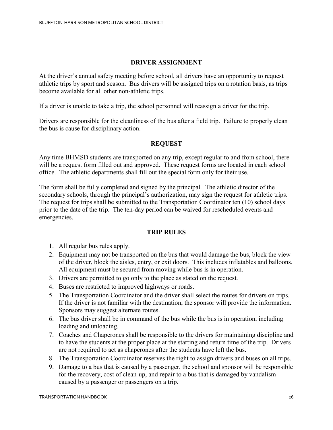## **DRIVER ASSIGNMENT**

At the driver's annual safety meeting before school, all drivers have an opportunity to request athletic trips by sport and season. Bus drivers will be assigned trips on a rotation basis, as trips become available for all other non-athletic trips.

If a driver is unable to take a trip, the school personnel will reassign a driver for the trip.

Drivers are responsible for the cleanliness of the bus after a field trip. Failure to properly clean the bus is cause for disciplinary action.

## **REQUEST**

Any time BHMSD students are transported on any trip, except regular to and from school, there will be a request form filled out and approved. These request forms are located in each school office. The athletic departments shall fill out the special form only for their use.

The form shall be fully completed and signed by the principal. The athletic director of the secondary schools, through the principal's authorization, may sign the request for athletic trips. The request for trips shall be submitted to the Transportation Coordinator ten (10) school days prior to the date of the trip. The ten-day period can be waived for rescheduled events and emergencies.

#### **TRIP RULES**

- 1. All regular bus rules apply.
- 2. Equipment may not be transported on the bus that would damage the bus, block the view of the driver, block the aisles, entry, or exit doors. This includes inflatables and balloons. All equipment must be secured from moving while bus is in operation.
- 3. Drivers are permitted to go only to the place as stated on the request.
- 4. Buses are restricted to improved highways or roads.
- 5. The Transportation Coordinator and the driver shall select the routes for drivers on trips. If the driver is not familiar with the destination, the sponsor will provide the information. Sponsors may suggest alternate routes.
- 6. The bus driver shall be in command of the bus while the bus is in operation, including loading and unloading.
- 7. Coaches and Chaperones shall be responsible to the drivers for maintaining discipline and to have the students at the proper place at the starting and return time of the trip. Drivers are not required to act as chaperones after the students have left the bus.
- 8. The Transportation Coordinator reserves the right to assign drivers and buses on all trips.
- 9. Damage to a bus that is caused by a passenger, the school and sponsor will be responsible for the recovery, cost of clean-up, and repair to a bus that is damaged by vandalism caused by a passenger or passengers on a trip.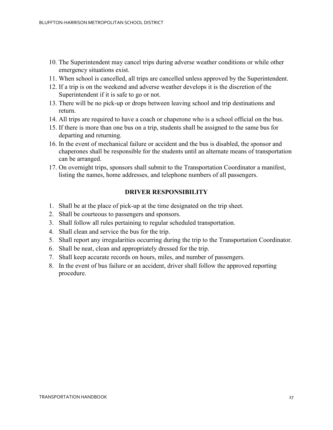- 10. The Superintendent may cancel trips during adverse weather conditions or while other emergency situations exist.
- 11. When school is cancelled, all trips are cancelled unless approved by the Superintendent.
- 12. If a trip is on the weekend and adverse weather develops it is the discretion of the Superintendent if it is safe to go or not.
- 13. There will be no pick-up or drops between leaving school and trip destinations and return.
- 14. All trips are required to have a coach or chaperone who is a school official on the bus.
- 15. If there is more than one bus on a trip, students shall be assigned to the same bus for departing and returning.
- 16. In the event of mechanical failure or accident and the bus is disabled, the sponsor and chaperones shall be responsible for the students until an alternate means of transportation can be arranged.
- 17. On overnight trips, sponsors shall submit to the Transportation Coordinator a manifest, listing the names, home addresses, and telephone numbers of all passengers.

#### **DRIVER RESPONSIBILITY**

- 1. Shall be at the place of pick-up at the time designated on the trip sheet.
- 2. Shall be courteous to passengers and sponsors.
- 3. Shall follow all rules pertaining to regular scheduled transportation.
- 4. Shall clean and service the bus for the trip.
- 5. Shall report any irregularities occurring during the trip to the Transportation Coordinator.
- 6. Shall be neat, clean and appropriately dressed for the trip.
- 7. Shall keep accurate records on hours, miles, and number of passengers.
- 8. In the event of bus failure or an accident, driver shall follow the approved reporting procedure.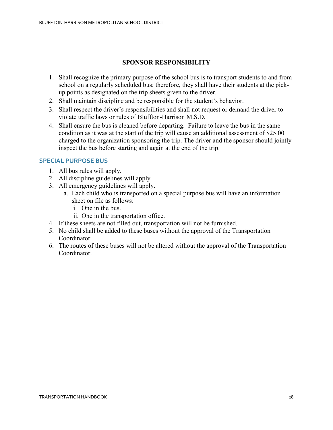## **SPONSOR RESPONSIBILITY**

- 1. Shall recognize the primary purpose of the school bus is to transport students to and from school on a regularly scheduled bus; therefore, they shall have their students at the pickup points as designated on the trip sheets given to the driver.
- 2. Shall maintain discipline and be responsible for the student's behavior.
- 3. Shall respect the driver's responsibilities and shall not request or demand the driver to violate traffic laws or rules of Bluffton-Harrison M.S.D.
- 4. Shall ensure the bus is cleaned before departing. Failure to leave the bus in the same condition as it was at the start of the trip will cause an additional assessment of \$25.00 charged to the organization sponsoring the trip. The driver and the sponsor should jointly inspect the bus before starting and again at the end of the trip.

## **SPECIAL PURPOSE BUS**

- 1. All bus rules will apply.
- 2. All discipline guidelines will apply.
- 3. All emergency guidelines will apply.
	- a. Each child who is transported on a special purpose bus will have an information sheet on file as follows:
		- i. One in the bus.
		- ii. One in the transportation office.
- 4. If these sheets are not filled out, transportation will not be furnished.
- 5. No child shall be added to these buses without the approval of the Transportation Coordinator.
- 6. The routes of these buses will not be altered without the approval of the Transportation Coordinator.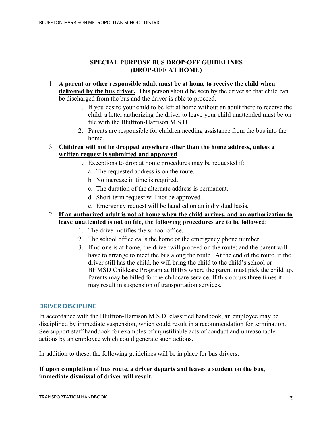## **SPECIAL PURPOSE BUS DROP-OFF GUIDELINES (DROP-OFF AT HOME)**

- 1. **A parent or other responsible adult must be at home to receive the child when delivered by the bus driver.** This person should be seen by the driver so that child can be discharged from the bus and the driver is able to proceed.
	- 1. If you desire your child to be left at home without an adult there to receive the child, a letter authorizing the driver to leave your child unattended must be on file with the Bluffton-Harrison M.S.D.
	- 2. Parents are responsible for children needing assistance from the bus into the home.

## 3. **Children will not be dropped anywhere other than the home address, unless a written request is submitted and approved**.

- 1. Exceptions to drop at home procedures may be requested if:
	- a. The requested address is on the route.
	- b. No increase in time is required.
	- c. The duration of the alternate address is permanent.
	- d. Short-term request will not be approved.
	- e. Emergency request will be handled on an individual basis.
- 2. **If an authorized adult is not at home when the child arrives, and an authorization to leave unattended is not on file, the following procedures are to be followed**:
	- 1. The driver notifies the school office.
	- 2. The school office calls the home or the emergency phone number.
	- 3. If no one is at home, the driver will proceed on the route; and the parent will have to arrange to meet the bus along the route. At the end of the route, if the driver still has the child, he will bring the child to the child's school or BHMSD Childcare Program at BHES where the parent must pick the child up. Parents may be billed for the childcare service. If this occurs three times it may result in suspension of transportation services.

## **DRIVER DISCIPLINE**

In accordance with the Bluffton-Harrison M.S.D. classified handbook, an employee may be disciplined by immediate suspension, which could result in a recommendation for termination. See support staff handbook for examples of unjustifiable acts of conduct and unreasonable actions by an employee which could generate such actions.

In addition to these, the following guidelines will be in place for bus drivers:

## **If upon completion of bus route, a driver departs and leaves a student on the bus, immediate dismissal of driver will result.**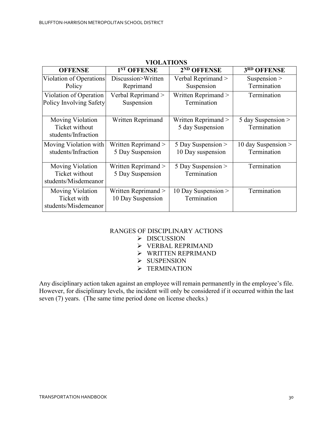| <b>OFFENSE</b>                                             | 1 <sup>ST</sup> OFFENSE                   | 2 <sup>ND</sup> OFFENSE                   | 3RD OFFENSE                          |
|------------------------------------------------------------|-------------------------------------------|-------------------------------------------|--------------------------------------|
| Violation of Operations                                    | Discussion>Written                        | Verbal Reprimand >                        | Suspension $>$                       |
| Policy                                                     | Reprimand                                 | Suspension                                | Termination                          |
| Violation of Operation<br>Policy Involving Safety          | Verbal Reprimand ><br>Suspension          | Written Reprimand ><br>Termination        | Termination                          |
| Moving Violation<br>Ticket without<br>students/Infraction  | Written Reprimand                         | Written Reprimand ><br>5 day Suspension   | 5 day Suspension ><br>Termination    |
| Moving Violation with<br>students/Infraction               | Written Reprimand ><br>5 Day Suspension   | 5 Day Suspension $>$<br>10 Day suspension | 10 day Suspension $>$<br>Termination |
| Moving Violation<br>Ticket without<br>students/Misdemeanor | Written Reprimand $>$<br>5 Day Suspension | 5 Day Suspension $>$<br>Termination       | Termination                          |
| Moving Violation<br>Ticket with<br>students/Misdemeanor    | Written Reprimand ><br>10 Day Suspension  | 10 Day Suspension $>$<br>Termination      | Termination                          |

#### **VIOLATIONS**

## RANGES OF DISCIPLINARY ACTIONS

- > DISCUSSION
- VERBAL REPRIMAND
- $\triangleright$  WRITTEN REPRIMAND
- $\triangleright$  SUSPENSION
- $\blacktriangleright$  TERMINATION

Any disciplinary action taken against an employee will remain permanently in the employee's file. However, for disciplinary levels, the incident will only be considered if it occurred within the last seven (7) years. (The same time period done on license checks.)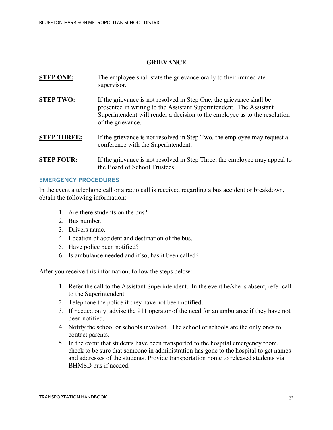## **GRIEVANCE**

- **STEP ONE:** The employee shall state the grievance orally to their immediate supervisor.
- **STEP TWO:** If the grievance is not resolved in Step One, the grievance shall be presented in writing to the Assistant Superintendent. The Assistant Superintendent will render a decision to the employee as to the resolution of the grievance.
- **STEP THREE:** If the grievance is not resolved in Step Two, the employee may request a conference with the Superintendent.
- **STEP FOUR:** If the grievance is not resolved in Step Three, the employee may appeal to the Board of School Trustees.

#### **EMERGENCY PROCEDURES**

In the event a telephone call or a radio call is received regarding a bus accident or breakdown, obtain the following information:

- 1. Are there students on the bus?
- 2. Bus number.
- 3. Drivers name.
- 4. Location of accident and destination of the bus.
- 5. Have police been notified?
- 6. Is ambulance needed and if so, has it been called?

After you receive this information, follow the steps below:

- 1. Refer the call to the Assistant Superintendent. In the event he/she is absent, refer call to the Superintendent.
- 2. Telephone the police if they have not been notified.
- 3. If needed only, advise the 911 operator of the need for an ambulance if they have not been notified.
- 4. Notify the school or schools involved. The school or schools are the only ones to contact parents.
- 5. In the event that students have been transported to the hospital emergency room, check to be sure that someone in administration has gone to the hospital to get names and addresses of the students. Provide transportation home to released students via BHMSD bus if needed.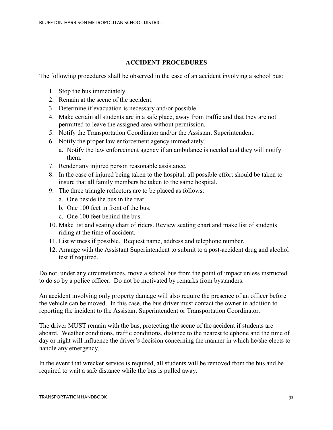## **ACCIDENT PROCEDURES**

The following procedures shall be observed in the case of an accident involving a school bus:

- 1. Stop the bus immediately.
- 2. Remain at the scene of the accident.
- 3. Determine if evacuation is necessary and/or possible.
- 4. Make certain all students are in a safe place, away from traffic and that they are not permitted to leave the assigned area without permission.
- 5. Notify the Transportation Coordinator and/or the Assistant Superintendent.
- 6. Notify the proper law enforcement agency immediately.
	- a. Notify the law enforcement agency if an ambulance is needed and they will notify them.
- 7. Render any injured person reasonable assistance.
- 8. In the case of injured being taken to the hospital, all possible effort should be taken to insure that all family members be taken to the same hospital.
- 9. The three triangle reflectors are to be placed as follows:
	- a. One beside the bus in the rear.
	- b. One 100 feet in front of the bus.
	- c. One 100 feet behind the bus.
- 10. Make list and seating chart of riders. Review seating chart and make list of students riding at the time of accident.
- 11. List witness if possible. Request name, address and telephone number.
- 12. Arrange with the Assistant Superintendent to submit to a post-accident drug and alcohol test if required.

Do not, under any circumstances, move a school bus from the point of impact unless instructed to do so by a police officer. Do not be motivated by remarks from bystanders.

An accident involving only property damage will also require the presence of an officer before the vehicle can be moved. In this case, the bus driver must contact the owner in addition to reporting the incident to the Assistant Superintendent or Transportation Coordinator.

The driver MUST remain with the bus, protecting the scene of the accident if students are aboard. Weather conditions, traffic conditions, distance to the nearest telephone and the time of day or night will influence the driver's decision concerning the manner in which he/she elects to handle any emergency.

In the event that wrecker service is required, all students will be removed from the bus and be required to wait a safe distance while the bus is pulled away.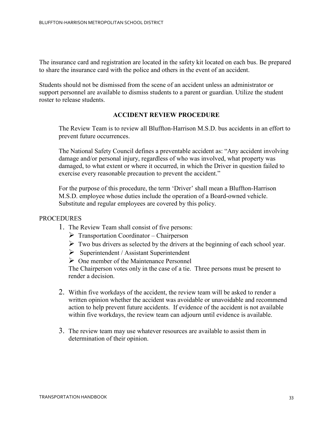The insurance card and registration are located in the safety kit located on each bus. Be prepared to share the insurance card with the police and others in the event of an accident.

Students should not be dismissed from the scene of an accident unless an administrator or support personnel are available to dismiss students to a parent or guardian. Utilize the student roster to release students.

#### **ACCIDENT REVIEW PROCEDURE**

The Review Team is to review all Bluffton-Harrison M.S.D. bus accidents in an effort to prevent future occurrences.

The National Safety Council defines a preventable accident as: "Any accident involving damage and/or personal injury, regardless of who was involved, what property was damaged, to what extent or where it occurred, in which the Driver in question failed to exercise every reasonable precaution to prevent the accident."

For the purpose of this procedure, the term 'Driver' shall mean a Bluffton-Harrison M.S.D. employee whose duties include the operation of a Board-owned vehicle. Substitute and regular employees are covered by this policy.

#### PROCEDURES

- 1. The Review Team shall consist of five persons:
	- $\triangleright$  Transportation Coordinator Chairperson
	- $\triangleright$  Two bus drivers as selected by the drivers at the beginning of each school year.
	- $\triangleright$  Superintendent / Assistant Superintendent
	- $\triangleright$  One member of the Maintenance Personnel

The Chairperson votes only in the case of a tie. Three persons must be present to render a decision.

- 2. Within five workdays of the accident, the review team will be asked to render a written opinion whether the accident was avoidable or unavoidable and recommend action to help prevent future accidents. If evidence of the accident is not available within five workdays, the review team can adjourn until evidence is available.
- 3. The review team may use whatever resources are available to assist them in determination of their opinion.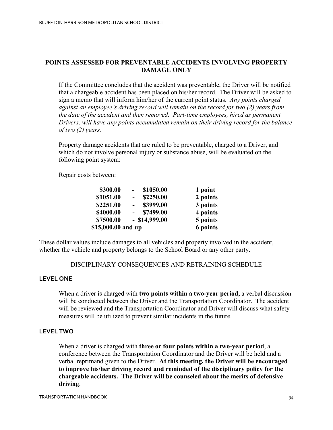## **POINTS ASSESSED FOR PREVENTABLE ACCIDENTS INVOLVING PROPERTY DAMAGE ONLY**

If the Committee concludes that the accident was preventable, the Driver will be notified that a chargeable accident has been placed on his/her record. The Driver will be asked to sign a memo that will inform him/her of the current point status. *Any points charged against an employee's driving record will remain on the record for two (2) years from the date of the accident and then removed. Part-time employees, hired as permanent Drivers, will have any points accumulated remain on their driving record for the balance of two (2) years.*

Property damage accidents that are ruled to be preventable, charged to a Driver, and which do not involve personal injury or substance abuse, will be evaluated on the following point system:

Repair costs between:

| \$300.00           | \$1050.00<br>$\overline{\phantom{0}}$ | 1 point  |
|--------------------|---------------------------------------|----------|
| \$1051.00          | \$2250.00<br>$\overline{\phantom{0}}$ | 2 points |
| \$2251.00          | \$3999.00                             | 3 points |
| \$4000.00          | \$7499.00                             | 4 points |
| \$7500.00          | $-$ \$14,999.00                       | 5 points |
| \$15,000.00 and up |                                       | 6 points |

These dollar values include damages to all vehicles and property involved in the accident, whether the vehicle and property belongs to the School Board or any other party.

#### DISCIPLINARY CONSEQUENCES AND RETRAINING SCHEDULE

#### **LEVEL ONE**

When a driver is charged with **two points within a two-year period,** a verbal discussion will be conducted between the Driver and the Transportation Coordinator. The accident will be reviewed and the Transportation Coordinator and Driver will discuss what safety measures will be utilized to prevent similar incidents in the future.

#### **LEVEL TWO**

When a driver is charged with **three or four points within a two-year period**, a conference between the Transportation Coordinator and the Driver will be held and a verbal reprimand given to the Driver. **At this meeting, the Driver will be encouraged to improve his/her driving record and reminded of the disciplinary policy for the chargeable accidents. The Driver will be counseled about the merits of defensive driving**.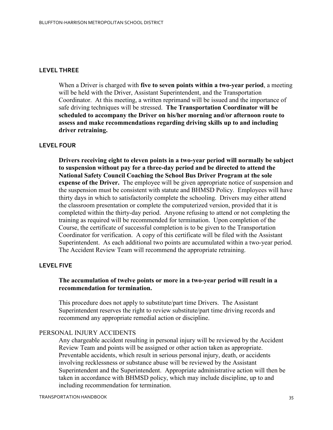#### **LEVEL THREE**

When a Driver is charged with **five to seven points within a two-year period**, a meeting will be held with the Driver, Assistant Superintendent, and the Transportation Coordinator. At this meeting, a written reprimand will be issued and the importance of safe driving techniques will be stressed. **The Transportation Coordinator will be scheduled to accompany the Driver on his/her morning and/or afternoon route to assess and make recommendations regarding driving skills up to and including driver retraining.**

#### **LEVEL FOUR**

**Drivers receiving eight to eleven points in a two-year period will normally be subject to suspension without pay for a three-day period and be directed to attend the National Safety Council Coaching the School Bus Driver Program at the sole expense of the Driver.** The employee will be given appropriate notice of suspension and the suspension must be consistent with statute and BHMSD Policy. Employees will have thirty days in which to satisfactorily complete the schooling. Drivers may either attend the classroom presentation or complete the computerized version, provided that it is completed within the thirty-day period. Anyone refusing to attend or not completing the training as required will be recommended for termination. Upon completion of the Course, the certificate of successful completion is to be given to the Transportation Coordinator for verification. A copy of this certificate will be filed with the Assistant Superintendent. As each additional two points are accumulated within a two-year period. The Accident Review Team will recommend the appropriate retraining.

#### **LEVEL FIVE**

#### **The accumulation of twelve points or more in a two-year period will result in a recommendation for termination.**

This procedure does not apply to substitute/part time Drivers. The Assistant Superintendent reserves the right to review substitute/part time driving records and recommend any appropriate remedial action or discipline.

#### PERSONAL INJURY ACCIDENTS

Any chargeable accident resulting in personal injury will be reviewed by the Accident Review Team and points will be assigned or other action taken as appropriate. Preventable accidents, which result in serious personal injury, death, or accidents involving recklessness or substance abuse will be reviewed by the Assistant Superintendent and the Superintendent. Appropriate administrative action will then be taken in accordance with BHMSD policy, which may include discipline, up to and including recommendation for termination.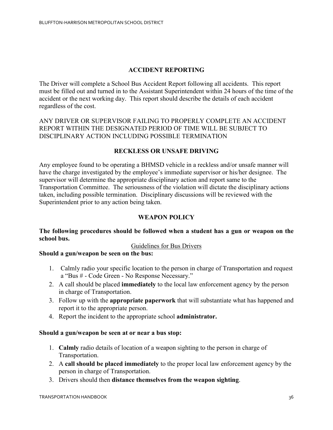## **ACCIDENT REPORTING**

The Driver will complete a School Bus Accident Report following all accidents. This report must be filled out and turned in to the Assistant Superintendent within 24 hours of the time of the accident or the next working day. This report should describe the details of each accident regardless of the cost.

ANY DRIVER OR SUPERVISOR FAILING TO PROPERLY COMPLETE AN ACCIDENT REPORT WITHIN THE DESIGNATED PERIOD OF TIME WILL BE SUBJECT TO DISCIPLINARY ACTION INCLUDING POSSIBLE TERMINATION

## **RECKLESS OR UNSAFE DRIVING**

Any employee found to be operating a BHMSD vehicle in a reckless and/or unsafe manner will have the charge investigated by the employee's immediate supervisor or his/her designee. The supervisor will determine the appropriate disciplinary action and report same to the Transportation Committee. The seriousness of the violation will dictate the disciplinary actions taken, including possible termination. Disciplinary discussions will be reviewed with the Superintendent prior to any action being taken.

## **WEAPON POLICY**

#### **The following procedures should be followed when a student has a gun or weapon on the school bus.**

#### Guidelines for Bus Drivers

#### **Should a gun/weapon be seen on the bus:**

- 1. Calmly radio your specific location to the person in charge of Transportation and request a "Bus # - Code Green - No Response Necessary."
- 2. A call should be placed **immediately** to the local law enforcement agency by the person in charge of Transportation.
- 3. Follow up with the **appropriate paperwork** that will substantiate what has happened and report it to the appropriate person.
- 4. Report the incident to the appropriate school **administrator.**

#### **Should a gun/weapon be seen at or near a bus stop:**

- 1. **Calmly** radio details of location of a weapon sighting to the person in charge of Transportation.
- 2. A **call should be placed immediately** to the proper local law enforcement agency by the person in charge of Transportation.
- 3. Drivers should then **distance themselves from the weapon sighting**.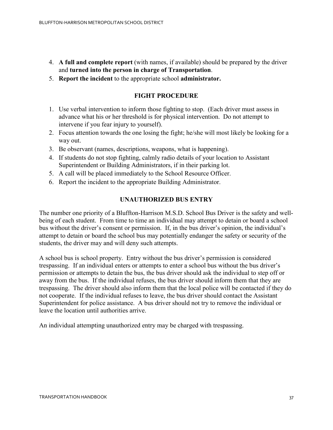- 4. **A full and complete report** (with names, if available) should be prepared by the driver and **turned into the person in charge of Transportation**.
- 5. **Report the incident** to the appropriate school **administrator.**

## **FIGHT PROCEDURE**

- 1. Use verbal intervention to inform those fighting to stop. (Each driver must assess in advance what his or her threshold is for physical intervention. Do not attempt to intervene if you fear injury to yourself).
- 2. Focus attention towards the one losing the fight; he/she will most likely be looking for a way out.
- 3. Be observant (names, descriptions, weapons, what is happening).
- 4. If students do not stop fighting, calmly radio details of your location to Assistant Superintendent or Building Administrators, if in their parking lot.
- 5. A call will be placed immediately to the School Resource Officer.
- 6. Report the incident to the appropriate Building Administrator.

## **UNAUTHORIZED BUS ENTRY**

The number one priority of a Bluffton-Harrison M.S.D. School Bus Driver is the safety and wellbeing of each student. From time to time an individual may attempt to detain or board a school bus without the driver's consent or permission. If, in the bus driver's opinion, the individual's attempt to detain or board the school bus may potentially endanger the safety or security of the students, the driver may and will deny such attempts.

A school bus is school property. Entry without the bus driver's permission is considered trespassing. If an individual enters or attempts to enter a school bus without the bus driver's permission or attempts to detain the bus, the bus driver should ask the individual to step off or away from the bus. If the individual refuses, the bus driver should inform them that they are trespassing. The driver should also inform them that the local police will be contacted if they do not cooperate. If the individual refuses to leave, the bus driver should contact the Assistant Superintendent for police assistance. A bus driver should not try to remove the individual or leave the location until authorities arrive.

An individual attempting unauthorized entry may be charged with trespassing.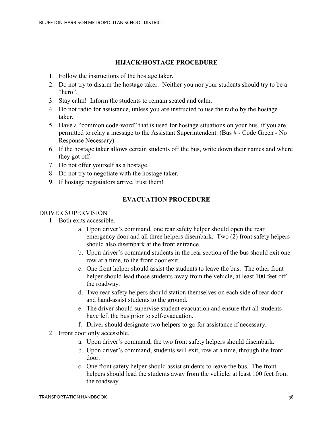## **HIJACK/HOSTAGE PROCEDURE**

- 1. Follow the instructions of the hostage taker.
- 2. Do not try to disarm the hostage taker. Neither you nor your students should try to be a "hero".
- 3. Stay calm! Inform the students to remain seated and calm.
- 4. Do not radio for assistance, unless you are instructed to use the radio by the hostage taker.
- 5. Have a "common code-word" that is used for hostage situations on your bus, if you are permitted to relay a message to the Assistant Superintendent. (Bus # - Code Green - No Response Necessary)
- 6. If the hostage taker allows certain students off the bus, write down their names and where they got off.
- 7. Do not offer yourself as a hostage.
- 8. Do not try to negotiate with the hostage taker.
- 9. If hostage negotiators arrive, trust them!

#### **EVACUATION PROCEDURE**

#### DRIVER SUPERVISION

- 1. Both exits accessible.
	- a. Upon driver's command, one rear safety helper should open the rear emergency door and all three helpers disembark. Two (2) front safety helpers should also disembark at the front entrance.
	- b. Upon driver's command students in the rear section of the bus should exit one row at a time, to the front door exit.
	- c. One front helper should assist the students to leave the bus. The other front helper should lead those students away from the vehicle, at least 100 feet off the roadway.
	- d. Two rear safety helpers should station themselves on each side of rear door and hand-assist students to the ground.
	- e. The driver should supervise student evacuation and ensure that all students have left the bus prior to self-evacuation.
	- f. Driver should designate two helpers to go for assistance if necessary.
- 2. Front door only accessible.
	- a. Upon driver's command, the two front safety helpers should disembark.
	- b. Upon driver's command, students will exit, row at a time, through the front door.
	- c. One front safety helper should assist students to leave the bus. The front helpers should lead the students away from the vehicle, at least 100 feet from the roadway.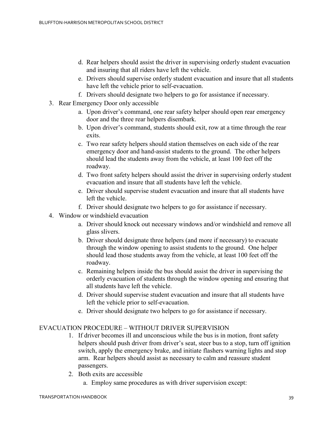- d. Rear helpers should assist the driver in supervising orderly student evacuation and insuring that all riders have left the vehicle.
- e. Drivers should supervise orderly student evacuation and insure that all students have left the vehicle prior to self-evacuation.
- f. Drivers should designate two helpers to go for assistance if necessary.
- 3. Rear Emergency Door only accessible
	- a. Upon driver's command, one rear safety helper should open rear emergency door and the three rear helpers disembark.
	- b. Upon driver's command, students should exit, row at a time through the rear exits.
	- c. Two rear safety helpers should station themselves on each side of the rear emergency door and hand-assist students to the ground. The other helpers should lead the students away from the vehicle, at least 100 feet off the roadway.
	- d. Two front safety helpers should assist the driver in supervising orderly student evacuation and insure that all students have left the vehicle.
	- e. Driver should supervise student evacuation and insure that all students have left the vehicle.
	- f. Driver should designate two helpers to go for assistance if necessary.
- 4. Window or windshield evacuation
	- a. Driver should knock out necessary windows and/or windshield and remove all glass slivers.
	- b. Driver should designate three helpers (and more if necessary) to evacuate through the window opening to assist students to the ground. One helper should lead those students away from the vehicle, at least 100 feet off the roadway.
	- c. Remaining helpers inside the bus should assist the driver in supervising the orderly evacuation of students through the window opening and ensuring that all students have left the vehicle.
	- d. Driver should supervise student evacuation and insure that all students have left the vehicle prior to self-evacuation.
	- e. Driver should designate two helpers to go for assistance if necessary.

#### EVACUATION PROCEDURE – WITHOUT DRIVER SUPERVISION

- 1. If driver becomes ill and unconscious while the bus is in motion, front safety helpers should push driver from driver's seat, steer bus to a stop, turn off ignition switch, apply the emergency brake, and initiate flashers warning lights and stop arm. Rear helpers should assist as necessary to calm and reassure student passengers.
- 2. Both exits are accessible
	- a. Employ same procedures as with driver supervision except: